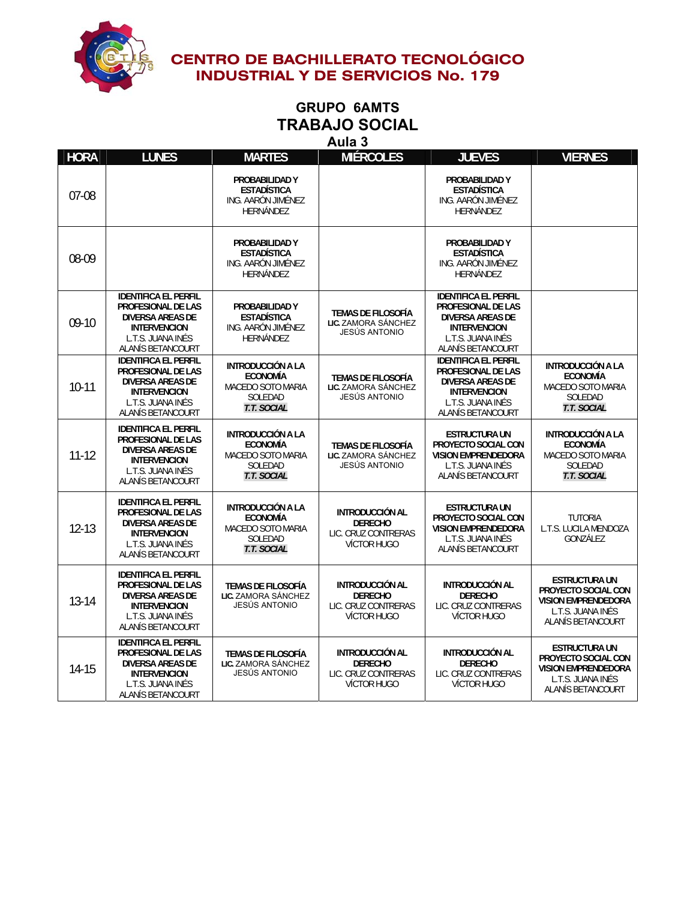

### **GRUPO 6AMTS TRABAJO SOCIAL Aula 3**

| <b>HORA</b> | <b>LUNES</b>                                                                                                                                  | <b>MARTES</b>                                                                              | <b>MIÉRCOLES</b>                                                                      | <b>JUEVES</b>                                                                                                                                        | <b>VIERNES</b>                                                                                                      |
|-------------|-----------------------------------------------------------------------------------------------------------------------------------------------|--------------------------------------------------------------------------------------------|---------------------------------------------------------------------------------------|------------------------------------------------------------------------------------------------------------------------------------------------------|---------------------------------------------------------------------------------------------------------------------|
| 07-08       |                                                                                                                                               | PROBABILIDAD Y<br><b>ESTADÍSTICA</b><br>ING. AARÓN JIMÉNEZ<br>HERNÁNDEZ                    |                                                                                       | PROBABILIDAD Y<br><b>ESTADÍSTICA</b><br>ING. AARÓN JIMÉNEZ<br>HERNÁNDEZ                                                                              |                                                                                                                     |
| 08-09       |                                                                                                                                               | PROBABILIDAD Y<br><b>ESTADÍSTICA</b><br>ING. AARÓN JIMÉNEZ<br><b>HERNÁNDEZ</b>             |                                                                                       | PROBABILIDAD Y<br><b>ESTADÍSTICA</b><br>ING. AARÓN JIMÉNEZ<br><b>HERNÁNDEZ</b>                                                                       |                                                                                                                     |
| $09-10$     | <b>IDENTIFICA EL PERFIL</b><br>PROFESIONAL DE LAS<br><b>DIVERSA AREAS DE</b><br><b>INTERVENCION</b><br>L.T.S. JUANA INÉS<br>ALANÍS BETANCOURT | PROBABILIDAD Y<br><b>ESTADÍSTICA</b><br>ING. AARÓN JIMÉNEZ<br>HERNÁNDEZ                    | <b>TEMAS DE FILOSOFÍA</b><br>LIC. ZAMORA SÁNCHEZ<br>JESÚS ANTONIO                     | <b>IDENTIFICA EL PERFIL</b><br><b>PROFESIONAL DE LAS</b><br><b>DIVERSA AREAS DE</b><br><b>INTERVENCION</b><br>L.T.S. JUANA INÉS<br>ALANÍS BETANCOURT |                                                                                                                     |
| $10-11$     | <b>IDENTIFICA EL PERFIL</b><br>PROFESIONAL DE LAS<br><b>DIVERSA AREAS DE</b><br><b>INTERVENCION</b><br>L.T.S. JUANA INÉS<br>ALANÍS BETANCOURT | INTRODUCCIÓN A LA<br><b>ECONOMÍA</b><br>MACEDO SOTO MARIA<br>SOLEDAD<br><b>T.T. SOCIAL</b> | <b>TEMAS DE FILOSOFÍA</b><br>LIC. ZAMORA SÁNCHEZ<br>JESÚS ANTONIO                     | <b>IDENTIFICA EL PERFIL</b><br><b>PROFESIONAL DE LAS</b><br><b>DIVERSA AREAS DE</b><br><b>INTERVENCION</b><br>L.T.S. JUANA INÉS<br>ALANÍS BETANCOURT | <b>INTRODUCCIÓN A LA</b><br><b>ECONOMÍA</b><br>MACEDO SOTO MARIA<br>SOLEDAD<br><b>T.T. SOCIAL</b>                   |
| $11 - 12$   | <b>IDENTIFICA EL PERFIL</b><br>PROFESIONAL DE LAS<br><b>DIVERSA AREAS DE</b><br><b>INTERVENCION</b><br>L.T.S. JUANA INÉS<br>ALANÍS BETANCOURT | INTRODUCCIÓN A LA<br><b>ECONOMÍA</b><br>MACEDO SOTO MARIA<br>SOLEDAD<br>T.T. SOCIAL        | <b>TEMAS DE FILOSOFÍA</b><br>LIC. ZAMORA SÁNCHEZ<br>JESÚS ANTONIO                     | <b>ESTRUCTURA UN</b><br>PROYECTO SOCIAL CON<br><b>VISION EMPRENDEDORA</b><br>L.T.S. JUANA INÉS<br>ALANÍS BETANCOURT                                  | <b>INTRODUCCIÓN A LA</b><br><b>ECONOMÍA</b><br><b>MACEDO SOTO MARIA</b><br>SOLEDAD<br>T.T. SOCIAL                   |
| $12 - 13$   | <b>IDENTIFICA EL PERFIL</b><br>PROFESIONAL DE LAS<br><b>DIVERSA AREAS DE</b><br><b>INTERVENCION</b><br>L.T.S. JUANA INÉS<br>ALANÍS BETANCOURT | INTRODUCCIÓN A LA<br><b>ECONOMÍA</b><br>MACEDO SOTO MARIA<br>SOLEDAD<br>T.T. SOCIAL        | INTRODUCCIÓN AL<br><b>DERECHO</b><br>LIC. CRUZ CONTRERAS<br><b>VÍCTOR HUGO</b>        | <b>ESTRUCTURA UN</b><br>PROYECTO SOCIAL CON<br><b>VISION EMPRENDEDORA</b><br>L.T.S. JUANA INÉS<br>ALANÍS BETANCOURT                                  | <b>TUTORIA</b><br>L.T.S. LUCILA MENDOZA<br>GONZÁLEZ                                                                 |
| $13 - 14$   | <b>IDENTIFICA EL PERFIL</b><br>PROFESIONAL DE LAS<br><b>DIVERSA AREAS DE</b><br><b>INTERVENCION</b><br>L.T.S. JUANA INÉS<br>ALANÍS BETANCOURT | <b>TEMAS DE FILOSOFÍA</b><br>LIC. ZAMORA SÁNCHEZ<br>JESÚS ANTONIO                          | <b>INTRODUCCIÓN AL</b><br><b>DERECHO</b><br>LIC. CRUZ CONTRERAS<br><b>VÍCTOR HUGO</b> | INTRODUCCIÓN AL<br><b>DERECHO</b><br>LIC. CRUZ CONTRERAS<br>VÍCTOR HUGO                                                                              | <b>ESTRUCTURA UN</b><br>PROYECTO SOCIAL CON<br><b>VISION EMPRENDEDORA</b><br>L.T.S. JUANA INÉS<br>ALANÍS BETANCOURT |
| 14-15       | <b>IDENTIFICA EL PERFIL</b><br>PROFESIONAL DE LAS<br><b>DIVERSA AREAS DE</b><br><b>INTERVENCION</b><br>L.T.S. JUANA INÉS<br>ALANÍS BETANCOURT | <b>TEMAS DE FILOSOFÍA</b><br>LIC. ZAMORA SÁNCHEZ<br>JESÚS ANTONIO                          | INTRODUCCIÓN AL<br><b>DERECHO</b><br>LIC. CRUZ CONTRERAS<br><b>VÍCTOR HUGO</b>        | <b>INTRODUCCIÓN AL</b><br><b>DERECHO</b><br>LIC. CRUZ CONTRERAS<br>VÍCTOR HUGO                                                                       | <b>ESTRUCTURA UN</b><br>PROYECTO SOCIAL CON<br><b>VISION EMPRENDEDORA</b><br>L.T.S. JUANA INÉS<br>ALANÍS BETANCOURT |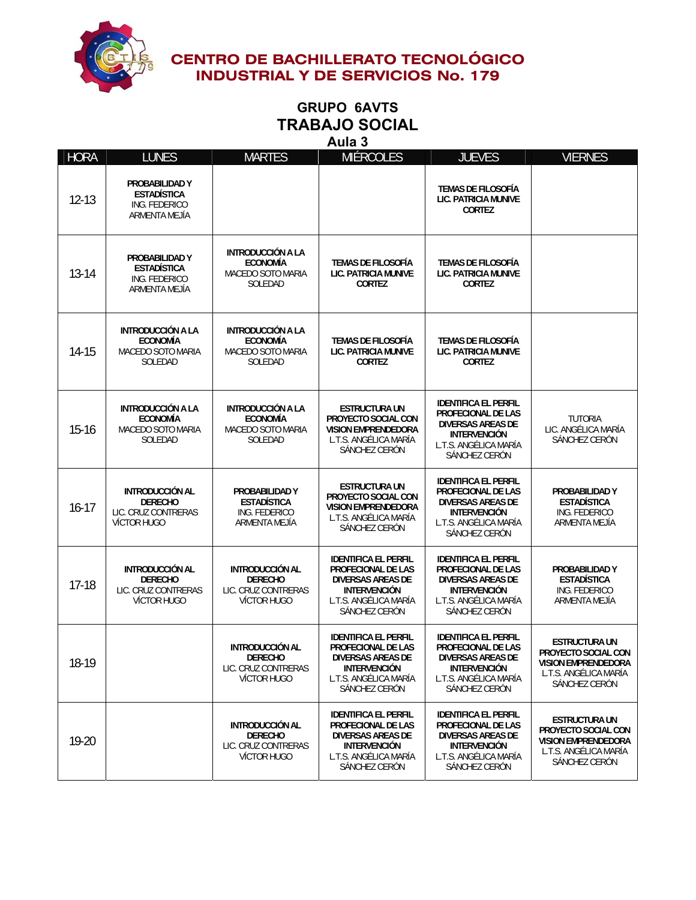

### **GRUPO 6AVTS TRABAJO SOCIAL Aula 3**

| <b>HORA</b> | <b>LUNES</b>                                                                          | <b>MARTES</b>                                                                  | <b>MIÉRCOLES</b>                                                                                                                                      | <b>JUEVES</b>                                                                                                                                  | <b>VIERNES</b>                                                                                                      |
|-------------|---------------------------------------------------------------------------------------|--------------------------------------------------------------------------------|-------------------------------------------------------------------------------------------------------------------------------------------------------|------------------------------------------------------------------------------------------------------------------------------------------------|---------------------------------------------------------------------------------------------------------------------|
| $12 - 13$   | PROBABILIDAD Y<br><b>ESTADÍSTICA</b><br>ING. FEDERICO<br>ARMENTA MEJÍA                |                                                                                |                                                                                                                                                       | <b>TEMAS DE FILOSOFÍA</b><br><b>LIC. PATRICIA MUNIVE</b><br><b>CORTEZ</b>                                                                      |                                                                                                                     |
| $13-14$     | PROBABILIDAD Y<br><b>ESTADÍSTICA</b><br>ING. FEDERICO<br>ARMENTA MEJÍA                | INTRODUCCIÓN A LA<br><b>ECONOMÍA</b><br>MACEDO SOTO MARIA<br>SOLEDAD           | <b>TEMAS DE FILOSOFÍA</b><br>LIC. PATRICIA MUNIVE<br><b>CORTEZ</b>                                                                                    | <b>TEMAS DE FILOSOFÍA</b><br>LIC. PATRICIA MUNIVE<br><b>CORTEZ</b>                                                                             |                                                                                                                     |
| $14 - 15$   | INTRODUCCIÓN A LA<br><b>ECONOMÍA</b><br>MACEDO SOTO MARIA<br>SOLEDAD                  | INTRODUCCIÓN A LA<br><b>ECONOMÍA</b><br>MACEDO SOTO MARIA<br>SOLEDAD           | <b>TEMAS DE FILOSOFÍA</b><br>LIC. PATRICIA MUNIVE<br><b>CORTEZ</b>                                                                                    | <b>TEMAS DE FILOSOFÍA</b><br><b>LIC. PATRICIA MUNIVE</b><br><b>CORTEZ</b>                                                                      |                                                                                                                     |
| $15 - 16$   | <b>INTRODUCCIÓN A LA</b><br><b>ECONOMÍA</b><br>MACEDO SOTO MARIA<br>SOLEDAD           | <b>INTRODUCCIÓN A LA</b><br><b>ECONOMÍA</b><br>MACEDO SOTO MARIA<br>SOLEDAD    | <b>ESTRUCTURA UN</b><br>PROYECTO SOCIAL CON<br><b>VISION EMPRENDEDORA</b><br>L.T.S. ANGÉLICA MARÍA<br>SÁNCHEZ CERÓN                                   | <b>IDENTIFICA EL PERFIL</b><br>PROFECIONAL DE LAS<br><b>DIVERSAS AREAS DE</b><br><b>INTERVENCIÓN</b><br>L.T.S. ANGÉLICA MARÍA<br>SÁNCHEZ CERÓN | <b>TUTORIA</b><br>LIC. ANGÉLICA MARÍA<br>SÁNCHEZ CERÓN                                                              |
| $16 - 17$   | <b>INTRODUCCIÓN AL</b><br><b>DERECHO</b><br>LIC. CRUZ CONTRERAS<br><b>VÍCTOR HUGO</b> | PROBABILIDAD Y<br><b>ESTADÍSTICA</b><br>ING. FEDERICO<br>ARMENTA MEJÍA         | <b>ESTRUCTURA UN</b><br>PROYECTO SOCIAL CON<br><b>VISION EMPRENDEDORA</b><br>L.T.S. ANGÉLICA MARÍA<br>SÁNCHEZ CERÓN                                   | <b>IDENTIFICA EL PERFIL</b><br>PROFECIONAL DE LAS<br><b>DIVERSAS AREAS DE</b><br><b>INTERVENCIÓN</b><br>L.T.S. ANGÉLICA MARÍA<br>SÁNCHEZ CERÓN | PROBABILIDAD Y<br><b>ESTADÍSTICA</b><br>ING. FEDERICO<br>ARMENTA MEJÍA                                              |
| $17 - 18$   | <b>INTRODUCCIÓN AL</b><br><b>DERECHO</b><br>LIC. CRUZ CONTRERAS<br>VÍCTOR HUGO        | <b>INTRODUCCIÓN AL</b><br><b>DERECHO</b><br>LIC. CRUZ CONTRERAS<br>VÍCTOR HUGO | <b>IDENTIFICA EL PERFIL</b><br><b>PROFECIONAL DE LAS</b><br><b>DIVERSAS AREAS DE</b><br><b>INTERVENCIÓN</b><br>L.T.S. ANGÉLICA MARÍA<br>SÁNCHEZ CERÓN | <b>IDENTIFICA EL PERFIL</b><br>PROFECIONAL DE LAS<br><b>DIVERSAS AREAS DE</b><br><b>INTERVENCIÓN</b><br>L.T.S. ANGÉLICA MARÍA<br>SÁNCHEZ CERÓN | PROBABILIDAD Y<br><b>ESTADÍSTICA</b><br>ING. FEDERICO<br>ARMENTA MEJIA                                              |
| 18-19       |                                                                                       | <b>INTRODUCCIÓN AL</b><br>DERECHO<br>LIC. CRUZ CONTRERAS<br>VÍCTOR HUGO        | <b>IDENTIFICA EL PERFIL</b><br><b>PROFECIONAL DE LAS</b><br><b>DIVERSAS AREAS DE</b><br><b>INTERVENCIÓN</b><br>L.T.S. ANGÉLICA MARÍA<br>SÁNCHEZ CERÓN | <b>IDENTIFICA EL PERFIL</b><br>PROFECIONAL DE LAS<br><b>DIVERSAS AREAS DE</b><br><b>INTERVENCIÓN</b><br>L.T.S. ANGÉLICA MARÍA<br>SÁNCHEZ CERÓN | <b>ESTRUCTURA UN</b><br>PROYECTO SOCIAL CON<br><b>VISION EMPRENDEDORA</b><br>L.T.S. ANGÉLICA MARÍA<br>SÁNCHEZ CERÓN |
| 19-20       |                                                                                       | <b>INTRODUCCIÓN AL</b><br><b>DERECHO</b><br>LIC. CRUZ CONTRERAS<br>VÍCTOR HUGO | <b>IDENTIFICA EL PERFIL</b><br>PROFECIONAL DE LAS<br><b>DIVERSAS AREAS DE</b><br><b>INTERVENCIÓN</b><br>L.T.S. ANGÉLICA MARÍA<br>SÁNCHEZ CERÓN        | <b>IDENTIFICA EL PERFIL</b><br>PROFECIONAL DE LAS<br><b>DIVERSAS AREAS DE</b><br><b>INTERVENCIÓN</b><br>L.T.S. ANGÉLICA MARÍA<br>SÁNCHEZ CERÓN | <b>ESTRUCTURA UN</b><br>PROYECTO SOCIAL CON<br><b>VISION EMPRENDEDORA</b><br>L.T.S. ANGÉLICA MARÍA<br>SÁNCHEZ CERÓN |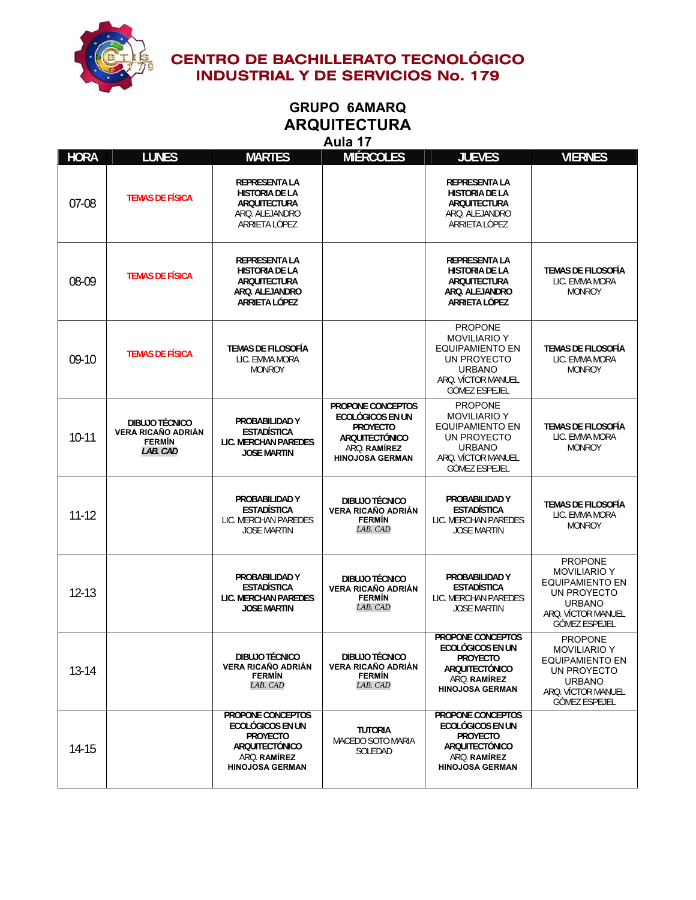

### **GRUPO 6AMARQ ARQUITECTURA Aula 17**

| <b>HORA</b> | <b>LUNES</b>                                                             | <b>MARTES</b>                                                                                                               | <b>MIÉRCOLES</b>                                                                                                                   | <b>JUEVES</b>                                                                                                                                 | <b>VIERNES</b>                                                                                                                         |
|-------------|--------------------------------------------------------------------------|-----------------------------------------------------------------------------------------------------------------------------|------------------------------------------------------------------------------------------------------------------------------------|-----------------------------------------------------------------------------------------------------------------------------------------------|----------------------------------------------------------------------------------------------------------------------------------------|
| $07-08$     | <b>TEMAS DE FÍSICA</b>                                                   | <b>REPRESENTA LA</b><br><b>HISTORIA DE LA</b><br>ARQUITECTURA<br>ARQ. ALEJANDRO<br>ARRIETA LÓPEZ                            |                                                                                                                                    | <b>REPRESENTA LA</b><br><b>HISTORIA DE LA</b><br>ARQUITECTURA<br>ARQ. ALEJANDRO<br>ARRIETA LÓPEZ                                              |                                                                                                                                        |
| 08-09       | <b>TEMAS DE FÍSICA</b>                                                   | <b>REPRESENTA LA</b><br><b>HISTORIA DE LA</b><br><b>ARQUITECTURA</b><br>ARQ. ALEJANDRO<br>ARRIETA LÓPEZ                     |                                                                                                                                    | <b>REPRESENTA LA</b><br><b>HISTORIA DE LA</b><br>ARQUITECTURA<br>ARQ. ALEJANDRO<br>ARRIETA LÓPEZ                                              | TEMAS DE FILOSOFÍA<br>LIC. EMMA MORA<br><b>MONROY</b>                                                                                  |
| $09-10$     | <b>TEMAS DE FÍSICA</b>                                                   | TEMAS DE FILOSOFÍA<br>LIC. EMMA MORA<br><b>MONROY</b>                                                                       |                                                                                                                                    | <b>PROPONE</b><br><b>MOVILIARIO Y</b><br><b>EQUIPAMIENTO EN</b><br>UN PROYECTO<br><b>URBANO</b><br>ARO. VÍCTOR MANUEL<br><b>GÓMEZ ESPEJEL</b> | <b>TEMAS DE FILOSOFÍA</b><br>LIC. EMMA MORA<br><b>MONROY</b>                                                                           |
| $10-11$     | DIBUJO TÉCNICO<br><b>VERA RICAÑO ADRIÁN</b><br><b>FERMÍN</b><br>LAB. CAD | PROBABILIDAD Y<br><b>ESTADÍSTICA</b><br><b>LIC. MERCHAN PAREDES</b><br><b>JOSE MARTIN</b>                                   | PROPONE CONCEPTOS<br><b>ECOLÓGICOS EN UN</b><br><b>PROYECTO</b><br><b>ARQUITECTÓNICO</b><br>ARO. RAMÍREZ<br><b>HINOJOSA GERMAN</b> | <b>PROPONE</b><br><b>MOVILIARIO Y</b><br><b>EQUIPAMIENTO EN</b><br>UN PROYECTO<br><b>URBANO</b><br>ARO. VÍCTOR MANUEL<br><b>GÓMEZ ESPEJEL</b> | <b>TEMAS DE FILOSOFÍA</b><br>LIC. EMMA MORA<br><b>MONROY</b>                                                                           |
| $11 - 12$   |                                                                          | PROBABILIDAD Y<br><b>ESTADÍSTICA</b><br>LIC. MERCHAN PAREDES<br><b>JOSE MARTIN</b>                                          | <b>DIBUJO TÉCNICO</b><br><b>VERA RICAÑO ADRIÁN</b><br><b>FERMÍN</b><br>LAB. CAD                                                    | PROBABILIDAD Y<br><b>ESTADÍSTICA</b><br>LIC. MERCHAN PAREDES<br><b>JOSE MARTIN</b>                                                            | <b>TEMAS DE FILOSOFÍA</b><br>LIC. EMMA MORA<br><b>MONROY</b>                                                                           |
| $12 - 13$   |                                                                          | PROBABILIDAD Y<br><b>ESTADÍSTICA</b><br>LIC. MERCHAN PAREDES<br><b>JOSE MARTIN</b>                                          | DIBUJO TÉCNICO<br><b>VERA RICAÑO ADRIÁN</b><br><b>FERMÍN</b><br>LAB. CAD                                                           | PROBABILIDAD Y<br><b>ESTADÍSTICA</b><br>LIC. MERCHAN PAREDES<br><b>JOSE MARTIN</b>                                                            | <b>PROPONE</b><br><b>MOVILIARIO Y</b><br>EQUIPAMIENTO EN<br>UN PROYECTO<br><b>URBANO</b><br>ARQ. VÍCTOR MANUEL<br><b>GÓMEZ ESPEJEL</b> |
| 13-14       |                                                                          | <b>DIBUJO TÉCNICO</b><br><b>VERA RICAÑO ADRIÁN</b><br><b>FERMIN</b><br>LAB. CAD                                             | <b>DIBUJO TÉCNICO</b><br><b>VERA RICAÑO ADRIÁN</b><br><b>FERMIN</b><br>LAB. CAD                                                    | PROPONE CONCEPTOS<br><b>ECOLÓGICOS EN UN</b><br>PROYECTO<br><b>ARQUITECTÓNICO</b><br>ARQ. RAMÍREZ<br><b>HINOJOSA GERMAN</b>                   | <b>PROPONE</b><br><b>MOVILIARIO Y</b><br>EQUIPAMIENTO EN<br>UN PROYECTO<br><b>URBANO</b><br>ARQ. VÍCTOR MANUEL<br><b>GÓMEZ ESPEJEL</b> |
| 14-15       |                                                                          | PROPONE CONCEPTOS<br>ECOLÓGICOS EN UN<br><b>PROYECTO</b><br><b>ARQUITECTÓNICO</b><br>ARQ. RAMÍREZ<br><b>HINOJOSA GERMAN</b> | <b>TUTORIA</b><br>MACEDO SOTO MARIA<br>SOLEDAD                                                                                     | PROPONE CONCEPTOS<br><b>ECOLÓGICOS EN UN</b><br><b>PROYECTO</b><br><b>ARQUITECTÓNICO</b><br>ARQ. RAMÍREZ<br><b>HINOJOSA GERMAN</b>            |                                                                                                                                        |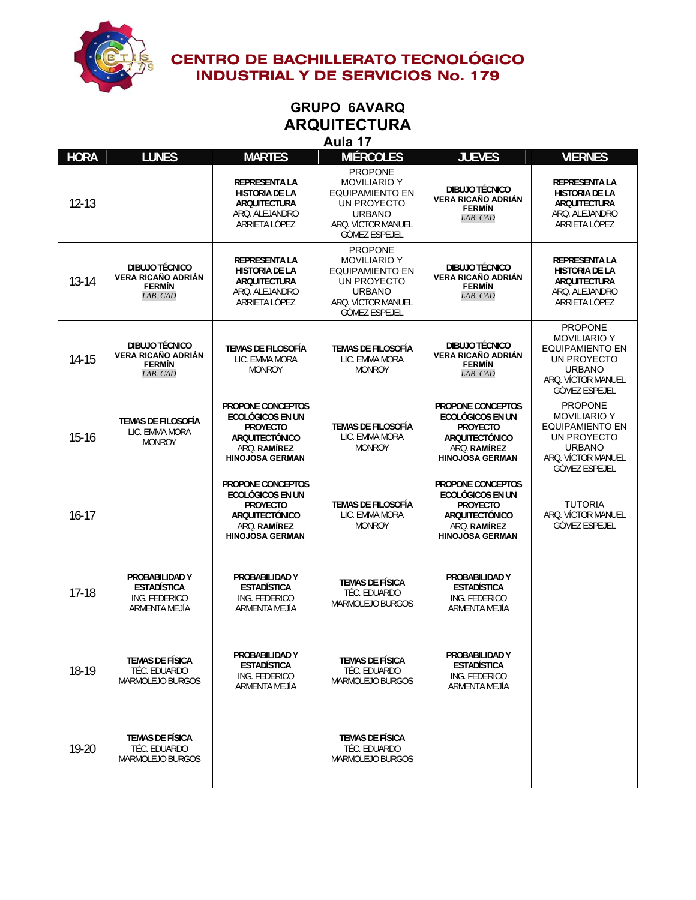

# **GRUPO 6AVARQ ARQUITECTURA**

**Aula 17** 

**HORA LUNES MARTES MIÉRCOLES JUEVES VIERNES** 12-13 **REPRESENTA LA HISTORIA DE LA ARQUITECTURA**  ARQ. ALEJANDRO ARRIETA LÓPEZ PROPONE MOVILIARIO Y EQUIPAMIENTO EN UN PROYECTO URBANO ARQ. VÍCTOR MANUEL GÓMEZ ESPEJEL **DIBUJO TÉCNICO VERA RICAÑO ADRIÁN FERMÍN**  *LAB. CAD* **REPRESENTA LA HISTORIA DE LA ARQUITECTURA**  ARQ. ALEJANDRO ARRIETA LÓPEZ 13-14 **DIBUJO TÉCNICO VERA RICAÑO ADRIÁN FERMÍN**  *LAB. CAD* **REPRESENTA LA HISTORIA DE LA ARQUITECTURA**  ARQ. ALEJANDRO ARRIETA LÓPEZ PROPONE MOVILIARIO Y EQUIPAMIENTO EN UN PROYECTO URBANO ARQ. VÍCTOR MANUEL GÓMEZ ESPEJEL **DIBUJO TÉCNICO VERA RICAÑO ADRIÁN FERMÍN**  *LAB. CAD* **REPRESENTA LA HISTORIA DE LA ARQUITECTURA**  ARQ. ALEJANDRO ARRIETA LÓPEZ 14-15 **DIBUJO TÉCNICO VERA RICAÑO ADRIÁN FERMÍN**  *LAB. CAD* **TEMAS DE FILOSOFÍA**  LIC. EMMA MORA MONROY **TEMAS DE FILOSOFÍA**  LIC. EMMA MORA MONROY **DIBUJO TÉCNICO VERA RICAÑO ADRIÁN FERMÍN**  *LAB. CAD* PROPONE MOVILIARIO Y EQUIPAMIENTO EN UN PROYECTO URBANO ARQ. VÍCTOR MANUEL GÓMEZ ESPEJEL 15-16 **TEMAS DE FILOSOFÍA**  LIC. EMMA MORA MONROY **PROPONE CONCEPTOS ECOLÓGICOS EN UN PROYECTO ARQUITECTÓNICO**  ARQ. **RAMÍREZ HINOJOSA GERMAN TEMAS DE FILOSOFÍA**  LIC. EMMA MORA MONROY **PROPONE CONCEPTOS ECOLÓGICOS EN UN PROYECTO ARQUITECTÓNICO**  ARQ. **RAMÍREZ HINOJOSA GERMAN**  PROPONE MOVILIARIO Y EQUIPAMIENTO EN UN PROYECTO URBANO ARQ. VÍCTOR MANUEL GÓMEZ ESPEJEL 16-17 **PROPONE CONCEPTOS ECOLÓGICOS EN UN PROYECTO ARQUITECTÓNICO**  ARQ. **RAMÍREZ HINOJOSA GERMAN TEMAS DE FILOSOFÍA**  LIC. EMMA MORA MONROY **PROPONE CONCEPTOS ECOLÓGICOS EN UN PROYECTO ARQUITECTÓNICO**  ARQ. **RAMÍREZ HINOJOSA GERMAN**  TUTORIA ARQ. VÍCTOR MANUEL GÓMEZ ESPEJEL 17-18 **PROBABILIDAD Y ESTADÍSTICA**  ING. FEDERICO ARMENTA MEJÍA **PROBABILIDAD Y ESTADÍSTICA**  ING. FEDERICO ARMENTA MEJÍA **TEMAS DE FÍSICA**  TÉC. EDUARDO MARMOLEJO BURGOS **PROBABILIDAD Y ESTADÍSTICA**  ING. FEDERICO ARMENTA MEJÍA 18-19 **TEMAS DE FÍSICA**  TÉC. EDUARDO MARMOLEJO BURGOS **PROBABILIDAD Y ESTADÍSTICA**  ING. FEDERICO ARMENTA MEJÍA **TEMAS DE FÍSICA**  TÉC. EDUARDO MARMOLEJO BURGOS **PROBABILIDAD Y ESTADÍSTICA**  ING. FEDERICO ARMENTA MEJÍA 19-20 **TEMAS DE FÍSICA**  TÉC. EDUARDO MARMOLEJO BURGOS **TEMAS DE FÍSICA**  TÉC. EDUARDO MARMOLEJO BURGOS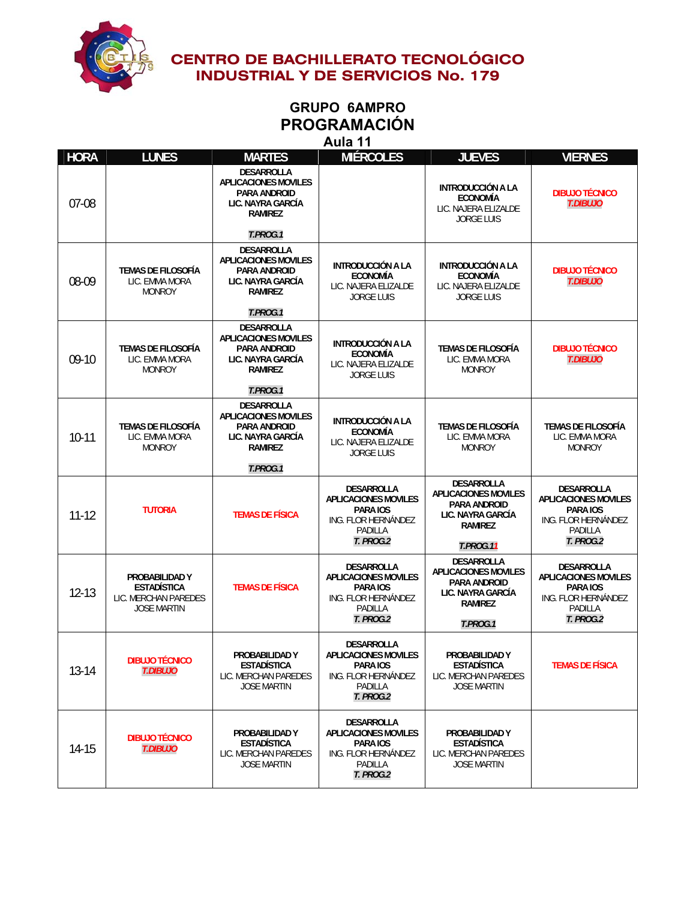

# **GRUPO 6AMPRO PROGRAMACIÓN**

**Aula 11** 

| <b>HORA</b> | <b>LUNES</b>                                                                       | <b>MARTES</b>                                                                                           | <b>MIÉRCOLES</b>                                                                                                   | <b>JUEVES</b>                                                                                                                      | <b>VIERNES</b>                                                                                                     |
|-------------|------------------------------------------------------------------------------------|---------------------------------------------------------------------------------------------------------|--------------------------------------------------------------------------------------------------------------------|------------------------------------------------------------------------------------------------------------------------------------|--------------------------------------------------------------------------------------------------------------------|
| $07-08$     |                                                                                    | <b>DESARROLLA</b><br><b>APLICACIONES MOVILES</b><br>PARA ANDROID<br>LIC. NAYRA GARCÍA<br><b>RAMIREZ</b> |                                                                                                                    | <b>INTRODUCCIÓN A LA</b><br><b>ECONOMÍA</b><br>LIC. NAJERA ELIZALDE<br><b>JORGE LUIS</b>                                           | <b>DIBUJO TÉCNICO</b><br><b>T.DIBUJO</b>                                                                           |
|             |                                                                                    | T.PROG.1                                                                                                |                                                                                                                    |                                                                                                                                    |                                                                                                                    |
| 08-09       | <b>TEMAS DE FILOSOFÍA</b><br>LIC. EMMA MORA<br><b>MONROY</b>                       | DESARROLLA<br><b>APLICACIONES MOVILES</b><br>PARA ANDROID<br>LIC. NAYRA GARCÍA<br><b>RAMIREZ</b>        | <b>INTRODUCCIÓN A LA</b><br><b>ECONOMÍA</b><br>LIC. NAJERA ELIZALDE<br><b>JORGE LUIS</b>                           | <b>INTRODUCCIÓN A LA</b><br><b>ECONOMÍA</b><br>LIC. NAJERA ELIZALDE<br><b>JORGE LUIS</b>                                           | <b>DIBUJO TÉCNICO</b><br><b>T.DIBUJO</b>                                                                           |
|             |                                                                                    | T.PROG.1                                                                                                |                                                                                                                    |                                                                                                                                    |                                                                                                                    |
| $09-10$     | <b>TEMAS DE FILOSOFÍA</b><br>LIC. EMMA MORA<br><b>MONROY</b>                       | <b>DESARROLLA</b><br><b>APLICACIONES MOVILES</b><br>PARA ANDROID<br>LIC. NAYRA GARCÍA<br><b>RAMIREZ</b> | INTRODUCCIÓN A LA<br><b>ECONOMÍA</b><br>LIC. NAJERA ELIZALDE<br><b>JORGE LUIS</b>                                  | <b>TEMAS DE FILOSOFÍA</b><br>LIC. EMMA MORA<br><b>MONROY</b>                                                                       | <b>DIBUJO TÉCNICO</b><br><b>T.DIBUJO</b>                                                                           |
|             |                                                                                    | T.PROG.1                                                                                                |                                                                                                                    |                                                                                                                                    |                                                                                                                    |
| $10 - 11$   | TEMAS DE FILOSOFÍA<br>LIC. EMMA MORA<br><b>MONROY</b>                              | DESARROLLA<br><b>APLICACIONES MOVILES</b><br><b>PARA ANDROID</b><br>LIC. NAYRA GARCÍA<br><b>RAMIREZ</b> | <b>INTRODUCCIÓN A LA</b><br><b>ECONOMÍA</b><br>LIC. NAJERA ELIZALDE<br><b>JORGE LUIS</b>                           | <b>TEMAS DE FILOSOFÍA</b><br>LIC. EMMA MORA<br><b>MONROY</b>                                                                       | TEMAS DE FILOSOFÍA<br>LIC. EMMA MORA<br><b>MONROY</b>                                                              |
|             |                                                                                    | T.PROG.1                                                                                                |                                                                                                                    |                                                                                                                                    |                                                                                                                    |
| $11 - 12$   | <b>TUTORIA</b>                                                                     | <b>TEMAS DE FÍSICA</b>                                                                                  | <b>DESARROLLA</b><br><b>APLICACIONES MOVILES</b><br>PARA IOS<br>ING. FLOR HERNÁNDEZ<br>PADILLA<br><b>T. PROG.2</b> | <b>DESARROLLA</b><br><b>APLICACIONES MOVILES</b><br><b>PARA ANDROID</b><br>LIC. NAYRA GARCÍA<br><b>RAMIREZ</b><br><b>T.PROG.11</b> | <b>DESARROLLA</b><br><b>APLICACIONES MOVILES</b><br>PARA IOS<br>ING. FLOR HERNÁNDEZ<br>PADILLA<br><b>T. PROG.2</b> |
| $12 - 13$   | PROBABILIDAD Y<br><b>ESTADÍSTICA</b><br>LIC. MERCHAN PAREDES<br><b>JOSE MARTIN</b> | <b>TEMAS DE FÍSICA</b>                                                                                  | DESARROLLA<br><b>APLICACIONES MOVILES</b><br>PARA IOS<br>ING. FLOR HERNÁNDEZ<br>PADILLA<br><b>T. PROG.2</b>        | <b>DESARROLLA</b><br><b>APLICACIONES MOVILES</b><br><b>PARA ANDROID</b><br>LIC. NAYRA GARCÍA<br><b>RAMIREZ</b><br>T.PROG.1         | <b>DESARROLLA</b><br><b>APLICACIONES MOVILES</b><br><b>PARA IOS</b><br>ING. FLOR HERNÁNDEZ<br>PADILLA<br>T. PROG.2 |
| $13 - 14$   | <b>DIBUJO TÉCNICO</b><br><b>T.DIBUJO</b>                                           | PROBABILIDAD Y<br><b>ESTADÍSTICA</b><br>LIC. MERCHAN PAREDES<br><b>JOSE MARTIN</b>                      | DESARROLLA<br><b>APLICACIONES MOVILES</b><br>PARA IOS<br>ING. FLOR HERNÁNDEZ<br>PADILLA<br>T. PROG.2               | PROBABILIDAD Y<br><b>ESTADÍSTICA</b><br>LIC. MERCHAN PAREDES<br><b>JOSE MARTIN</b>                                                 | <b>TEMAS DE FÍSICA</b>                                                                                             |
| 14-15       | <b>DIBUJO TÉCNICO</b><br><b>T.DIBUJO</b>                                           | PROBABILIDAD Y<br><b>ESTADÍSTICA</b><br>LIC. MERCHAN PAREDES<br><b>JOSE MARTIN</b>                      | <b>DESARROLLA</b><br><b>APLICACIONES MOVILES</b><br>PARA IOS<br>ING. FLOR HERNÁNDEZ<br>PADILLA<br><b>T. PROG.2</b> | PROBABILIDAD Y<br><b>ESTADÍSTICA</b><br>LIC. MERCHAN PAREDES<br><b>JOSE MARTIN</b>                                                 |                                                                                                                    |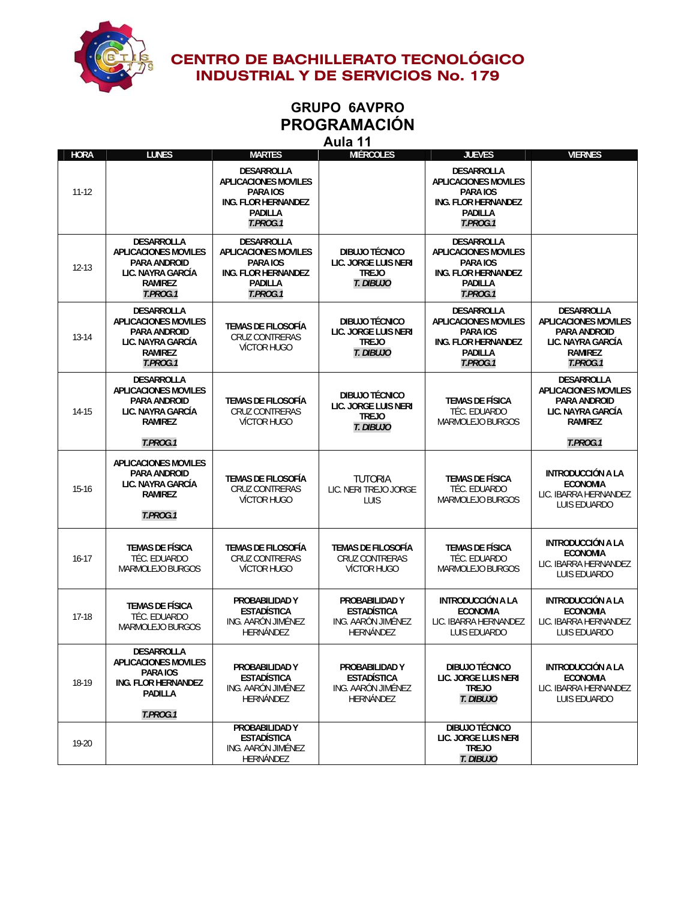

# **GRUPO 6AVPRO PROGRAMACIÓN**

**Aula 11** 

| <b>HORA</b> | <b>LUNES</b>                                                                                                               | <b>MARTES</b>                                                                                                            | лики<br>.<br><b>MIÉRCOLES</b>                                                  | <b>JUEVES</b>                                                                                                     | <b>VIERNES</b>                                                                                                             |
|-------------|----------------------------------------------------------------------------------------------------------------------------|--------------------------------------------------------------------------------------------------------------------------|--------------------------------------------------------------------------------|-------------------------------------------------------------------------------------------------------------------|----------------------------------------------------------------------------------------------------------------------------|
| $11 - 12$   |                                                                                                                            | <b>DESARROLLA</b><br><b>APLICACIONES MOVILES</b><br>PARA IOS<br><b>ING. FLOR HERNANDEZ</b><br><b>PADILLA</b><br>T.PROG.1 |                                                                                | DESARROLLA<br><b>APLICACIONES MOVILES</b><br>PARA IOS<br><b>ING. FLOR HERNANDEZ</b><br><b>PADILLA</b><br>T.PROG.1 |                                                                                                                            |
| $12 - 13$   | DESARROLLA<br><b>APLICACIONES MOVILES</b><br>PARA ANDROID<br>LIC. NAYRA GARCÍA<br><b>RAMIREZ</b><br>T.PROG.1               | DESARROLLA<br><b>APLICACIONES MOVILES</b><br>PARA IOS<br>ING. FLOR HERNANDEZ<br><b>PADILLA</b><br>T.PROG.1               | DIBUJO TÉCNICO<br>LIC. JORGE LUIS NERI<br><b>TREJO</b><br>T. DIBUJO            | DESARROLLA<br><b>APLICACIONES MOVILES</b><br>PARA IOS<br>ING. FLOR HERNANDEZ<br><b>PADILLA</b><br>T.PROG.1        |                                                                                                                            |
| 13-14       | <b>DESARROLLA</b><br><b>APLICACIONES MOVILES</b><br>PARA ANDROID<br>LIC. NAYRA GARCÍA<br><b>RAMIREZ</b><br>T.PROG.1        | <b>TEMAS DE FILOSOFÍA</b><br><b>CRUZ CONTRERAS</b><br><b>VÍCTOR HUGO</b>                                                 | DIBUJO TÉCNICO<br>LIC. JORGE LUIS NERI<br><b>TREJO</b><br>T. DIBUJO            | DESARROLLA<br><b>APLICACIONES MOVILES</b><br>PARA IOS<br>ING. FLOR HERNANDEZ<br><b>PADILLA</b><br>T.PROG.1        | DESARROLLA<br><b>APLICACIONES MOVILES</b><br>PARA ANDROID<br>LIC. NAYRA GARCÍA<br><b>RAMIREZ</b><br>T.PROG.1               |
| 14-15       | <b>DESARROLLA</b><br><b>APLICACIONES MOVILES</b><br><b>PARA ANDROID</b><br>LIC. NAYRA GARCÍA<br><b>RAMIREZ</b><br>T.PROG.1 | <b>TEMAS DE FILOSOFÍA</b><br><b>CRUZ CONTRERAS</b><br>VÍCTOR HUGO                                                        | DIBUJO TÉCNICO<br>LIC. JORGE LUIS NERI<br><b>TREJO</b><br>T. DIBUJO            | <b>TEMAS DE FÍSICA</b><br>TÉC. EDUARDO<br>MARMOLEJO BURGOS                                                        | <b>DESARROLLA</b><br><b>APLICACIONES MOVILES</b><br><b>PARA ANDROID</b><br>LIC. NAYRA GARCÍA<br><b>RAMIREZ</b><br>T.PROG.1 |
| $15-16$     | <b>APLICACIONES MOVILES</b><br><b>PARA ANDROID</b><br>LIC. NAYRA GARCÍA<br><b>RAMIREZ</b><br>T.PROG.1                      | <b>TEMAS DE FILOSOFÍA</b><br><b>CRUZ CONTRERAS</b><br>VÍCTOR HUGO                                                        | <b>TUTORIA</b><br>LIC. NERI TREJO JORGE<br>LUIS                                | <b>TEMAS DE FÍSICA</b><br>TÉC. EDUARDO<br>MARMOLEJO BURGOS                                                        | <b>INTRODUCCIÓN A LA</b><br><b>ECONOMIA</b><br>LIC. IBARRA HERNANDEZ<br><b>LUIS EDUARDO</b>                                |
| $16-17$     | <b>TEMAS DE FÍSICA</b><br>TÉC. EDUARDO<br>MARMOLEJO BURGOS                                                                 | <b>TEMAS DE FILOSOFÍA</b><br><b>CRUZ CONTRERAS</b><br><b>VÍCTOR HUGO</b>                                                 | <b>TEMAS DE FILOSOFÍA</b><br>CRUZ CONTRERAS<br><b>VÍCTOR HUGO</b>              | <b>TEMAS DE FÍSICA</b><br>TÉC. EDUARDO<br>MARMOLEJO BURGOS                                                        | <b>INTRODUCCIÓN A LA</b><br><b>ECONOMIA</b><br>LIC. IBARRA HERNANDEZ<br><b>LUIS EDUARDO</b>                                |
| $17-18$     | <b>TEMAS DE FÍSICA</b><br>TÉC. EDUARDO<br>MARMOLEJO BURGOS                                                                 | PROBABILIDAD Y<br><b>ESTADÍSTICA</b><br>ING. AARÓN JIMÉNEZ<br>HERNÁNDEZ                                                  | PROBABILIDAD Y<br><b>ESTADÍSTICA</b><br>ING. AARÓN JIMÉNEZ<br>HERNÁNDEZ        | <b>INTRODUCCIÓN A LA</b><br><b>ECONOMIA</b><br>LIC. IBARRA HERNANDEZ<br>LUIS EDUARDO                              | <b>INTRODUCCIÓN A LA</b><br><b>ECONOMIA</b><br>LIC. IBARRA HERNANDEZ<br><b>LUIS EDUARDO</b>                                |
| 18-19       | DESARROLLA<br><b>APLICACIONES MOVILES</b><br>PARA IOS<br><b>ING. FLOR HERNANDEZ</b><br>PADILLA<br>T.PROG.1                 | PROBABILIDAD Y<br><b>ESTADÍSTICA</b><br>ING. AARÓN JIMÉNEZ<br>HERNÁNDEZ                                                  | PROBABILIDAD Y<br><b>ESTADÍSTICA</b><br>ING. AARÓN JIMÉNEZ<br><b>HERNÁNDEZ</b> | <b>DIBUJO TÉCNICO</b><br>LIC. JORGE LUIS NERI<br><b>TREJO</b><br>T. DIBUJO                                        | INTRODUCCIÓN A LA<br><b>ECONOMIA</b><br>LIC. IBARRA HERNANDEZ<br>LUIS EDUARDO                                              |
| 19-20       |                                                                                                                            | PROBABILIDAD Y<br><b>ESTADÍSTICA</b><br>ING. AARÓN JIMÉNEZ<br>HERNÁNDEZ                                                  |                                                                                | <b>DIBUJO TÉCNICO</b><br>LIC. JORGE LUIS NERI<br><b>TREJO</b><br>T. DIBUJO                                        |                                                                                                                            |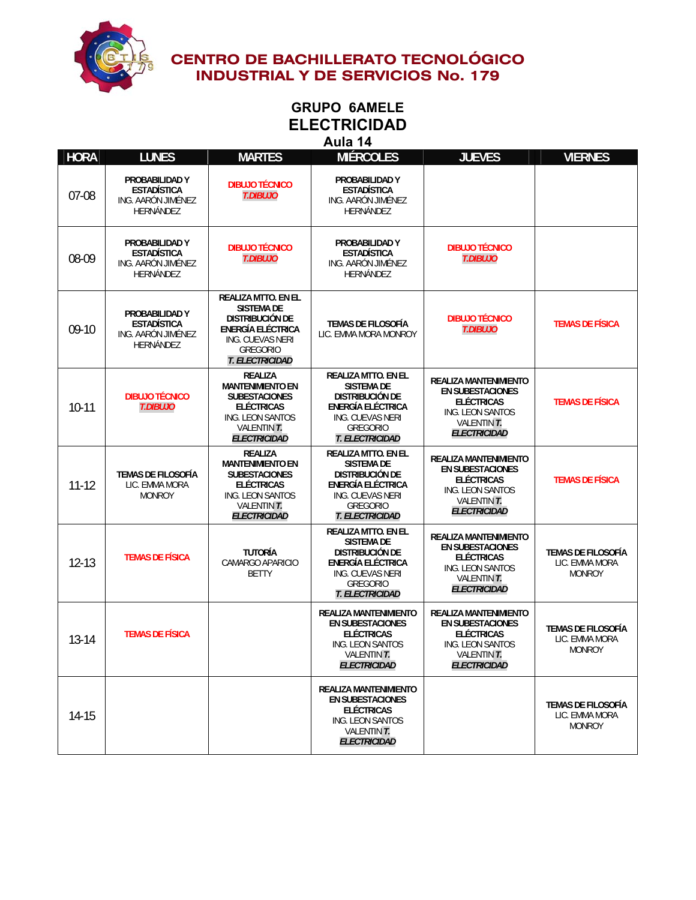

### **GRUPO 6AMELE ELECTRICIDAD Aula 14**

| <b>HORA</b> | <b>LUNES</b>                                                                   | <b>MARTES</b>                                                                                                                                                   | <b>MIÉRCOLES</b>                                                                                                                                                       | <b>JUEVES</b>                                                                                                                          | <b>VIERNES</b>                                               |
|-------------|--------------------------------------------------------------------------------|-----------------------------------------------------------------------------------------------------------------------------------------------------------------|------------------------------------------------------------------------------------------------------------------------------------------------------------------------|----------------------------------------------------------------------------------------------------------------------------------------|--------------------------------------------------------------|
| 07-08       | PROBABILIDAD Y<br><b>ESTADÍSTICA</b><br>ING. AARÓN JIMÉNEZ<br>HERNÁNDEZ        | <b>DIBUJO TÉCNICO</b><br><b>T.DIBUJO</b>                                                                                                                        | PROBABILIDAD Y<br><b>ESTADÍSTICA</b><br>ING. AARÓN JIMÉNEZ<br>HERNÁNDEZ                                                                                                |                                                                                                                                        |                                                              |
| 08-09       | PROBABILIDAD Y<br><b>ESTADÍSTICA</b><br>ING. AARÓN JIMÉNEZ<br><b>HERNÁNDEZ</b> | <b>DIBUJO TÉCNICO</b><br><b>T.DIBUJO</b>                                                                                                                        | PROBABILIDAD Y<br><b>ESTADÍSTICA</b><br>ING. AARÓN JIMÉNEZ<br><b>HERNÁNDEZ</b>                                                                                         | <b>DIBUJO TÉCNICO</b><br><b>T.DIBUJO</b>                                                                                               |                                                              |
| $09-10$     | PROBABILIDAD Y<br><b>ESTADÍSTICA</b><br>ING. AARÓN JIMÉNEZ<br>HERNÁNDEZ        | <b>REALIZA MTTO. EN EL</b><br><b>SISTEMA DE</b><br><b>DISTRIBUCIÓN DE</b><br><b>ENERGÍA ELÉCTRICA</b><br>ING. CUEVAS NERI<br><b>GREGORIO</b><br>T. ELECTRICIDAD | <b>TEMAS DE FILOSOFÍA</b><br>LIC. EMMA MORA MONROY                                                                                                                     | <b>DIBUJO TÉCNICO</b><br><b>T.DIBUJO</b>                                                                                               | <b>TEMAS DE FÍSICA</b>                                       |
| $10-11$     | <b>DIBUJO TÉCNICO</b><br><b>T.DIBUJO</b>                                       | <b>REALIZA</b><br><b>MANTENIMIENTO EN</b><br><b>SUBESTACIONES</b><br><b>ELÉCTRICAS</b><br>ING. LEON SANTOS<br><b>VALENTIN T.</b><br><b>ELECTRICIDAD</b>         | <b>REALIZA MTTO. EN EL</b><br><b>SISTEMA DE</b><br><b>DISTRIBUCIÓN DE</b><br><b>ENERGÍA ELÉCTRICA</b><br>ING. CUEVAS NERI<br><b>GREGORIO</b><br><b>T. ELECTRICIDAD</b> | REALIZA MANTENIMIENTO<br><b>EN SUBESTACIONES</b><br><b>ELÉCTRICAS</b><br><b>ING. LEON SANTOS</b><br>VALENTIN T.<br><b>ELECTRICIDAD</b> | <b>TEMAS DE FÍSICA</b>                                       |
| $11 - 12$   | <b>TEMAS DE FILOSOFÍA</b><br>LIC. EMMA MORA<br><b>MONROY</b>                   | <b>REALIZA</b><br><b>MANTENIMIENTO EN</b><br><b>SUBESTACIONES</b><br><b>ELÉCTRICAS</b><br>ING. LEON SANTOS<br>VALENTIN T.<br>ELECTRICIDAD                       | <b>REALIZA MTTO. EN EL</b><br><b>SISTEMA DE</b><br><b>DISTRIBUCIÓN DE</b><br>ENERGÍA ELÉCTRICA<br>ING. CUEVAS NERI<br><b>GREGORIO</b><br><b>T. ELECTRICIDAD</b>        | REALIZA MANTENIMIENTO<br><b>EN SUBESTACIONES</b><br><b>ELÉCTRICAS</b><br>ING. LEON SANTOS<br><b>VALENTIN T.</b><br><b>ELECTRICIDAD</b> | <b>TEMAS DE FÍSICA</b>                                       |
| $12 - 13$   | <b>TEMAS DE FÍSICA</b>                                                         | <b>TUTORÍA</b><br>CAMARGO APARICIO<br><b>BETTY</b>                                                                                                              | <b>REALIZA MTTO. EN EL</b><br><b>SISTEMA DE</b><br><b>DISTRIBUCIÓN DE</b><br><b>ENERGÍA ELÉCTRICA</b><br>ING. CUEVAS NERI<br><b>GREGORIO</b><br><b>T. ELECTRICIDAD</b> | <b>REALIZA MANTENIMIENTO</b><br><b>EN SUBESTACIONES</b><br><b>ELÉCTRICAS</b><br>ING. LEON SANTOS<br>VALENTIN T.<br><b>ELECTRICIDAD</b> | <b>TEMAS DE FILOSOFÍA</b><br>LIC. EMMA MORA<br><b>MONROY</b> |
| $13 - 14$   | <b>TEMAS DE FÍSICA</b>                                                         |                                                                                                                                                                 | <b>REALIZA MANTENIMIENTO</b><br><b>EN SUBESTACIONES</b><br><b>ELÉCTRICAS</b><br>ING. LEON SANTOS<br>VALENTIN T.<br><b>ELECTRICIDAD</b>                                 | REALIZA MANTENIMIENTO<br><b>EN SUBESTACIONES</b><br><b>ELÉCTRICAS</b><br>ING. LEON SANTOS<br>VALENTIN T.<br><b>ELECTRICIDAD</b>        | <b>TEMAS DE FILOSOFÍA</b><br>LIC. EMMA MORA<br><b>MONROY</b> |
| 14-15       |                                                                                |                                                                                                                                                                 | <b>REALIZA MANTENIMIENTO</b><br><b>EN SUBESTACIONES</b><br><b>ELÉCTRICAS</b><br>ING. LEON SANTOS<br><b>VALENTIN T.</b><br><b>ELECTRICIDAD</b>                          |                                                                                                                                        | TEMAS DE FILOSOFÍA<br>LIC. EMMA MORA<br><b>MONROY</b>        |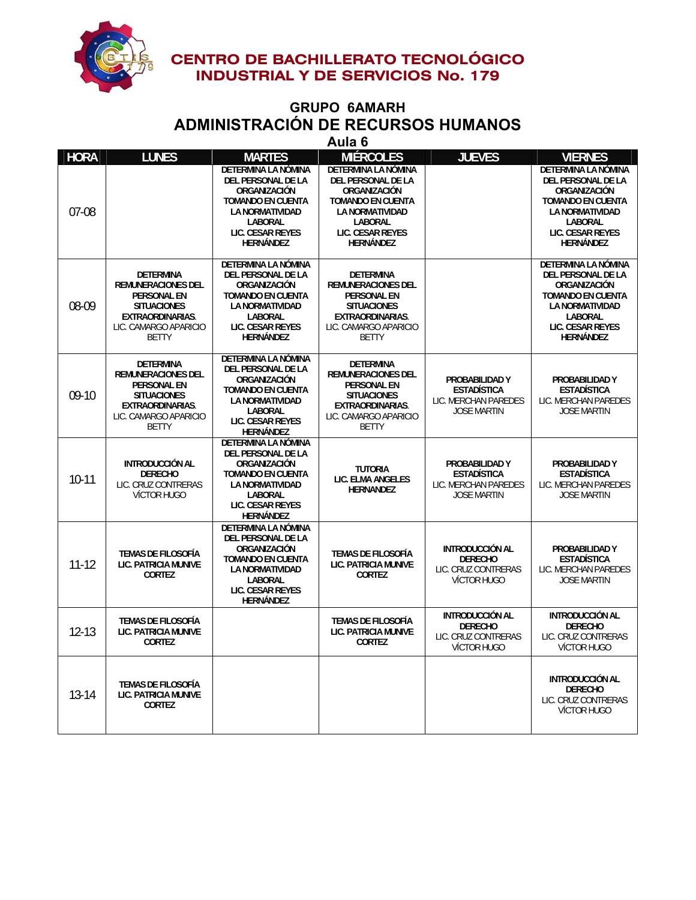

#### **GRUPO 6AMARH ADMINISTRACIÓN DE RECURSOS HUMANOS Aula 6**

|             |                                                                                                                                                               |                                                                                                                                                                                  | Auid o                                                                                                                                                             |                                                                                       |                                                                                                                                                                    |
|-------------|---------------------------------------------------------------------------------------------------------------------------------------------------------------|----------------------------------------------------------------------------------------------------------------------------------------------------------------------------------|--------------------------------------------------------------------------------------------------------------------------------------------------------------------|---------------------------------------------------------------------------------------|--------------------------------------------------------------------------------------------------------------------------------------------------------------------|
| <b>HORA</b> | <b>LUNES</b>                                                                                                                                                  | <b>MARTES</b>                                                                                                                                                                    | <b>MIÉRCOLES</b>                                                                                                                                                   | <b>JUEVES</b>                                                                         | <b>VIERNES</b>                                                                                                                                                     |
| 07-08       |                                                                                                                                                               | DETERMINA LA NÓMINA<br><b>DEL PERSONAL DE LA</b><br>ORGANIZACIÓN<br><b>TOMANDO EN CUENTA</b><br><b>LA NORMATIVIDAD</b><br>LABORAL<br>LIC. CESAR REYES<br><b>HERNÁNDEZ</b>        | DETERMINA LA NÓMINA<br>DEL PERSONAL DE LA<br>ORGANIZACIÓN<br><b>TOMANDO EN CUENTA</b><br>LA NORMATIVIDAD<br><b>LABORAL</b><br>LIC. CESAR REYES<br><b>HERNÁNDEZ</b> |                                                                                       | DETERMINA LA NÓMINA<br><b>DEL PERSONAL DE LA</b><br>ORGANIZACIÓN<br><b>TOMANDO EN CUENTA</b><br>LA NORMATIVIDAD<br>LABORAL<br>LIC. CESAR REYES<br><b>HERNÁNDEZ</b> |
| 08-09       | <b>DETERMINA</b><br><b>REMUNERACIONES DEL</b><br><b>PERSONAL EN</b><br><b>SITUACIONES</b><br><b>EXTRAORDINARIAS.</b><br>LIC. CAMARGO APARICIO<br><b>BETTY</b> | DETERMINA LA NÓMINA<br>DEL PERSONAL DE LA<br>ORGANIZACIÓN<br><b>TOMANDO EN CUENTA</b><br><b>LA NORMATIVIDAD</b><br><b>LABORAL</b><br><b>LIC. CESAR REYES</b><br><b>HERNÁNDEZ</b> | <b>DETERMINA</b><br><b>REMUNERACIONES DEL</b><br><b>PERSONAL EN</b><br><b>SITUACIONES</b><br><b>EXTRAORDINARIAS.</b><br>LIC. CAMARGO APARICIO<br><b>BETTY</b>      |                                                                                       | DETERMINA LA NÓMINA<br>DEL PERSONAL DE LA<br>ORGANIZACIÓN<br><b>TOMANDO EN CUENTA</b><br>LA NORMATIVIDAD<br>LABORAL<br><b>LIC. CESAR REYES</b><br>HERNÁNDEZ        |
| $09-10$     | <b>DETERMINA</b><br><b>REMUNERACIONES DEL</b><br>PERSONAL EN<br><b>SITUACIONES</b><br>EXTRAORDINARIAS.<br>LIC. CAMARGO APARICIO<br><b>BETTY</b>               | DETERMINA LA NÓMINA<br>DEL PERSONAL DE LA<br>ORGANIZACIÓN<br><b>TOMANDO EN CUENTA</b><br><b>LA NORMATIVIDAD</b><br><b>LABORAL</b><br>LIC. CESAR REYES<br><b>HERNÁNDEZ</b>        | <b>DETERMINA</b><br><b>REMUNERACIONES DEL</b><br><b>PERSONAL EN</b><br><b>SITUACIONES</b><br>EXTRAORDINARIAS.<br>LIC. CAMARGO APARICIO<br><b>BETTY</b>             | PROBABILIDAD Y<br><b>ESTADÍSTICA</b><br>LIC. MERCHAN PAREDES<br><b>JOSE MARTIN</b>    | PROBABILIDAD Y<br><b>ESTADÍSTICA</b><br>LIC. MERCHAN PAREDES<br><b>JOSE MARTIN</b>                                                                                 |
| $10-11$     | <b>INTRODUCCIÓN AL</b><br><b>DERECHO</b><br>LIC. CRUZ CONTRERAS<br>VÍCTOR HUGO                                                                                | DETERMINA LA NÓMINA<br><b>DEL PERSONAL DE LA</b><br>ORGANIZACIÓN<br><b>TOMANDO EN CUENTA</b><br><b>LA NORMATIVIDAD</b><br>LABORAL<br>LIC. CESAR REYES<br>HERNÁNDEZ               | <b>TUTORIA</b><br>LIC. ELMA ANGELES<br><b>HERNANDEZ</b>                                                                                                            | PROBABILIDAD Y<br><b>ESTADÍSTICA</b><br>LIC. MERCHAN PAREDES<br><b>JOSE MARTIN</b>    | PROBABILIDAD Y<br><b>ESTADÍSTICA</b><br>LIC. MERCHAN PAREDES<br><b>JOSE MARTIN</b>                                                                                 |
| $11 - 12$   | <b>TEMAS DE FILOSOFÍA</b><br><b>LIC. PATRICIA MUNIVE</b><br><b>CORTEZ</b>                                                                                     | DETERMINA LA NÓMINA<br>DEL PERSONAL DE LA<br>ORGANIZACIÓN<br><b>TOMANDO EN CUENTA</b><br><b>LA NORMATIVIDAD</b><br><b>LABORAL</b><br>LIC. CESAR REYES<br>HERNÁNDEZ               | <b>TEMAS DE FILOSOFÍA</b><br><b>LIC. PATRICIA MUNIVE</b><br><b>CORTEZ</b>                                                                                          | <b>INTRODUCCIÓN AL</b><br><b>DERECHO</b><br>LIC. CRUZ CONTRERAS<br><b>VÍCTOR HUGO</b> | PROBABILIDAD Y<br><b>ESTADÍSTICA</b><br>LIC. MERCHAN PAREDES<br><b>JOSE MARTIN</b>                                                                                 |
| $12 - 13$   | <b>TEMAS DE FILOSOFÍA</b><br>LIC. PATRICIA MUNIVE<br><b>CORTEZ</b>                                                                                            |                                                                                                                                                                                  | <b>TEMAS DE FILOSOFÍA</b><br>LIC. PATRICIA MUNIVE<br><b>CORTEZ</b>                                                                                                 | <b>INTRODUCCIÓN AL</b><br><b>DERECHO</b><br>LIC. CRUZ CONTRERAS<br>VÍCTOR HUGO        | <b>INTRODUCCIÓN AL</b><br><b>DERECHO</b><br>LIC. CRUZ CONTRERAS<br>VÍCTOR HUGO                                                                                     |
| $13 - 14$   | <b>TEMAS DE FILOSOFÍA</b><br>LIC. PATRICIA MUNIVE<br><b>CORTEZ</b>                                                                                            |                                                                                                                                                                                  |                                                                                                                                                                    |                                                                                       | <b>INTRODUCCIÓN AL</b><br><b>DERECHO</b><br>LIC. CRUZ CONTRERAS<br><b>VÍCTOR HUGO</b>                                                                              |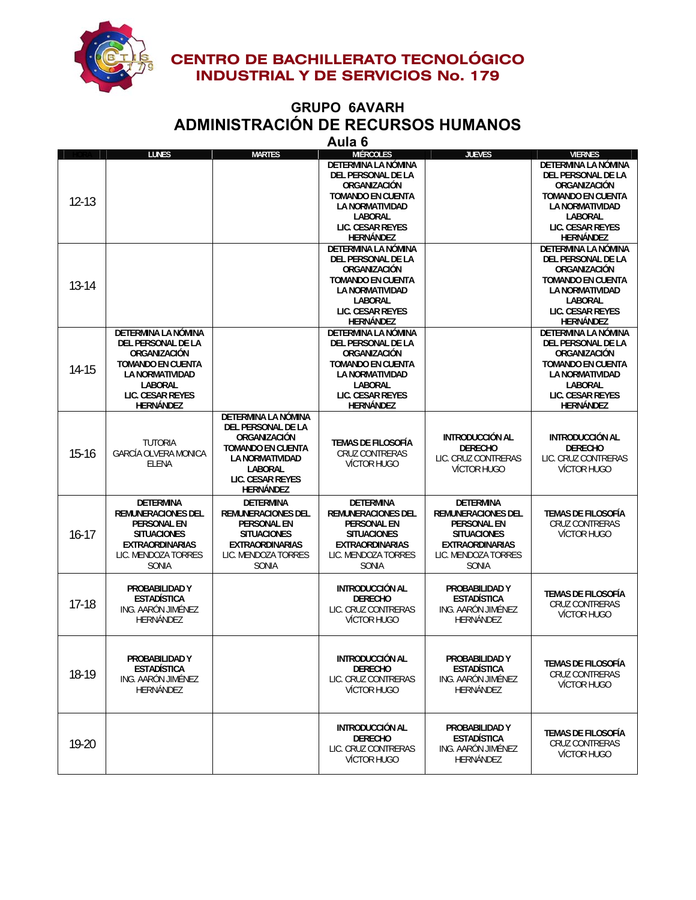

#### **GRUPO 6AVARH ADMINISTRACIÓN DE RECURSOS HUMANOS Aula 6**

|           |                             |                           | Auid o                    |                        |                            |
|-----------|-----------------------------|---------------------------|---------------------------|------------------------|----------------------------|
|           | <b>LUNES</b>                | <b>MARTES</b>             | <b>MIÉRCOLES</b>          | <b>JUEVES</b>          | <b>VIERNES</b>             |
|           |                             |                           | DETERMINA LA NÓMINA       |                        | <b>DETERMINA LA NÓMINA</b> |
|           |                             |                           | DEL PERSONAL DE LA        |                        | DEL PERSONAL DE LA         |
|           |                             |                           | ORGANIZACIÓN              |                        | ORGANIZACIÓN               |
|           |                             |                           | <b>TOMANDO EN CUENTA</b>  |                        | <b>TOMANDO EN CUENTA</b>   |
| $12 - 13$ |                             |                           | <b>LA NORMATIVIDAD</b>    |                        | <b>LA NORMATIVIDAD</b>     |
|           |                             |                           | <b>LABORAL</b>            |                        | <b>LABORAL</b>             |
|           |                             |                           |                           |                        |                            |
|           |                             |                           | <b>LIC. CESAR REYES</b>   |                        | LIC. CESAR REYES           |
|           |                             |                           | <b>HERNÁNDEZ</b>          |                        | <b>HERNÁNDEZ</b>           |
|           |                             |                           | DETERMINA LA NÓMINA       |                        | DETERMINA LA NÓMINA        |
|           |                             |                           | DEL PERSONAL DE LA        |                        | DEL PERSONAL DE LA         |
|           |                             |                           | ORGANIZACIÓN              |                        | ORGANIZACIÓN               |
|           |                             |                           | <b>TOMANDO EN CUENTA</b>  |                        | <b>TOMANDO EN CUENTA</b>   |
| $13 - 14$ |                             |                           | LA NORMATIVIDAD           |                        | <b>LA NORMATIVIDAD</b>     |
|           |                             |                           | <b>LABORAL</b>            |                        | <b>LABORAL</b>             |
|           |                             |                           | LIC. CESAR REYES          |                        | LIC. CESAR REYES           |
|           |                             |                           |                           |                        |                            |
|           |                             |                           | HERNÁNDEZ                 |                        | HERNÁNDEZ                  |
|           | DETERMINA LA NÓMINA         |                           | DETERMINA LA NÓMINA       |                        | DETERMINA LA NÓMINA        |
|           | DEL PERSONAL DE LA          |                           | DEL PERSONAL DE LA        |                        | DEL PERSONAL DE LA         |
|           | ORGANIZACIÓN                |                           | ORGANIZACIÓN              |                        | ORGANIZACIÓN               |
| 14-15     | <b>TOMANDO EN CUENTA</b>    |                           | <b>TOMANDO EN CUENTA</b>  |                        | <b>TOMANDO EN CUENTA</b>   |
|           | <b>LA NORMATIVIDAD</b>      |                           | <b>LA NORMATIVIDAD</b>    |                        | <b>LA NORMATIVIDAD</b>     |
|           | <b>LABORAL</b>              |                           | <b>LABORAL</b>            |                        | <b>LABORAL</b>             |
|           | LIC. CESAR REYES            |                           | LIC. CESAR REYES          |                        | LIC. CESAR REYES           |
|           | <b>HERNÁNDEZ</b>            |                           | <b>HERNÁNDEZ</b>          |                        | <b>HERNÁNDEZ</b>           |
|           |                             | DETERMINA LA NÓMINA       |                           |                        |                            |
|           |                             | DEL PERSONAL DE LA        |                           |                        |                            |
|           |                             |                           |                           | <b>INTRODUCCIÓN AL</b> |                            |
|           | <b>TUTORIA</b>              | ORGANIZACIÓN              | TEMAS DE FILOSOFÍA        |                        | <b>INTRODUCCIÓN AL</b>     |
| $15 - 16$ | <b>GARCÍA OLVERA MONICA</b> | <b>TOMANDO EN CUENTA</b>  | <b>CRUZ CONTRERAS</b>     | <b>DERECHO</b>         | <b>DERECHO</b>             |
|           | ELENA                       | <b>LA NORMATIVIDAD</b>    | <b>VÍCTOR HUGO</b>        | LIC. CRUZ CONTRERAS    | LIC. CRUZ CONTRERAS        |
|           |                             | LABORAL                   |                           | <b>VÍCTOR HUGO</b>     | VÍCTOR HUGO                |
|           |                             | <b>LIC. CESAR REYES</b>   |                           |                        |                            |
|           |                             | HERNÁNDEZ                 |                           |                        |                            |
|           | <b>DETERMINA</b>            | <b>DETERMINA</b>          | <b>DETERMINA</b>          | <b>DETERMINA</b>       |                            |
|           | <b>REMUNERACIONES DEL</b>   | <b>REMUNERACIONES DEL</b> | <b>REMUNERACIONES DEL</b> | REMUNERACIONES DEL     | <b>TEMAS DE FILOSOFÍA</b>  |
|           | <b>PERSONAL EN</b>          | <b>PERSONAL EN</b>        | <b>PERSONAL EN</b>        | <b>PERSONAL EN</b>     | CRUZ CONTRERAS             |
|           |                             |                           | <b>SITUACIONES</b>        |                        |                            |
| $16 - 17$ | <b>SITUACIONES</b>          | <b>SITUACIONES</b>        |                           | <b>SITUACIONES</b>     | VÍCTOR HUGO                |
|           | <b>EXTRAORDINARIAS</b>      | <b>EXTRAORDINARIAS</b>    | <b>EXTRAORDINARIAS</b>    | <b>EXTRAORDINARIAS</b> |                            |
|           | LIC. MENDOZA TORRES         | LIC. MENDOZA TORRES       | LIC. MENDOZA TORRES       | LIC. MENDOZA TORRES    |                            |
|           | <b>SONIA</b>                | <b>SONIA</b>              | <b>SONIA</b>              | <b>SONIA</b>           |                            |
|           |                             |                           |                           |                        |                            |
|           | PROBABILIDAD Y              |                           | <b>INTRODUCCIÓN AL</b>    | PROBABILIDAD Y         |                            |
|           | <b>ESTADÍSTICA</b>          |                           | <b>DERECHO</b>            | <b>ESTADÍSTICA</b>     | <b>TEMAS DE FILOSOFÍA</b>  |
| $17-18$   | ING. AARÓN JIMÉNEZ          |                           | LIC. CRUZ CONTRERAS       | ING. AARÓN JIMÉNEZ     | <b>CRUZ CONTRERAS</b>      |
|           | HERNÁNDEZ                   |                           | VÍCTOR HUGO               | HERNÁNDEZ              | VÍCTOR HUGO                |
|           |                             |                           |                           |                        |                            |
|           |                             |                           |                           |                        |                            |
|           |                             |                           |                           |                        |                            |
|           | PROBABILIDAD Y              |                           | <b>INTRODUCCIÓN AL</b>    | PROBABILIDAD Y         |                            |
| 18-19     |                             |                           |                           | <b>ESTADÍSTICA</b>     | TEMAS DE FILOSOFÍA         |
|           | <b>ESTADÍSTICA</b>          |                           | <b>DERECHO</b>            |                        | CRUZ CONTRERAS             |
|           | ING. AARÓN JIMÉNEZ          |                           | LIC. CRUZ CONTRERAS       | ING. AARÓN JIMÉNEZ     | <b>VÍCTOR HUGO</b>         |
|           | <b>HERNÁNDEZ</b>            |                           | <b>VÍCTOR HUGO</b>        | HERNÁNDEZ              |                            |
|           |                             |                           |                           |                        |                            |
|           |                             |                           |                           |                        |                            |
|           |                             |                           | <b>INTRODUCCIÓN AL</b>    |                        |                            |
|           |                             |                           |                           | PROBABILIDAD Y         | <b>TEMAS DE FILOSOFÍA</b>  |
| 19-20     |                             |                           | <b>DERECHO</b>            | <b>ESTADÍSTICA</b>     | <b>CRUZ CONTRERAS</b>      |
|           |                             |                           | LIC. CRUZ CONTRERAS       | ING. AARÓN JIMÉNEZ     | <b>VÍCTOR HUGO</b>         |
|           |                             |                           | VÍCTOR HUGO               | HERNÁNDEZ              |                            |
|           |                             |                           |                           |                        |                            |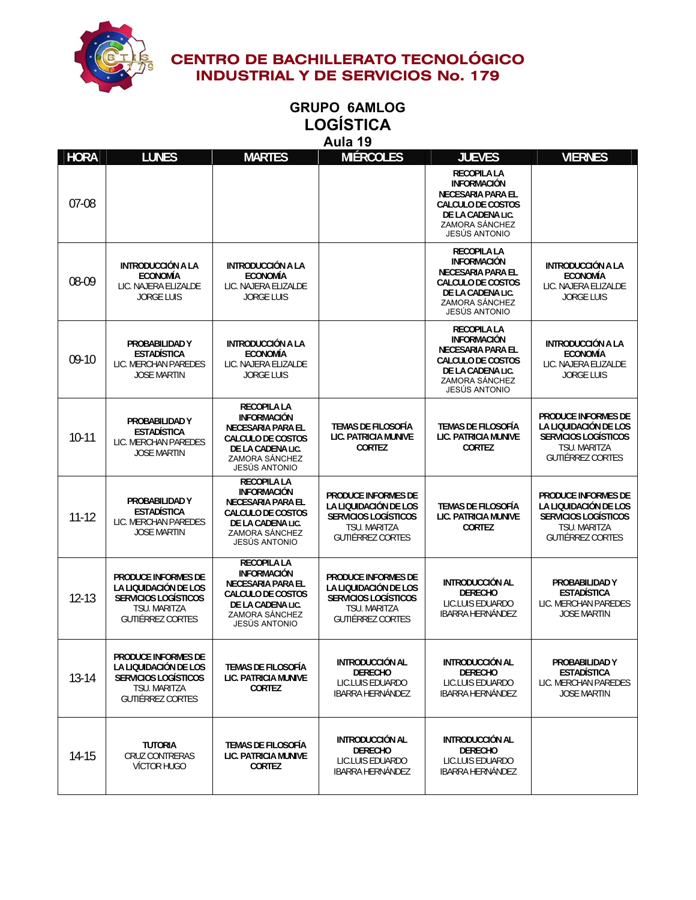

### **GRUPO 6AMLOG LOGÍSTICA Aula 19**

| <b>HORA</b> | <b>LUNES</b>                                                                                                                  | <b>MARTES</b>                                                                                                                                                          | <b>MIÉRCOLES</b>                                                                                                              | <b>JUEVES</b>                                                                                                                                                   | <b>VIERNES</b>                                                                                                                       |
|-------------|-------------------------------------------------------------------------------------------------------------------------------|------------------------------------------------------------------------------------------------------------------------------------------------------------------------|-------------------------------------------------------------------------------------------------------------------------------|-----------------------------------------------------------------------------------------------------------------------------------------------------------------|--------------------------------------------------------------------------------------------------------------------------------------|
| 07-08       |                                                                                                                               |                                                                                                                                                                        |                                                                                                                               | <b>RECOPILA LA</b><br><b>INFORMACIÓN</b><br><b>NECESARIA PARA EL</b><br><b>CALCULO DE COSTOS</b><br>DE LA CADENA LIC.<br>ZAMORA SÁNCHEZ<br><b>JESÚS ANTONIO</b> |                                                                                                                                      |
| 08-09       | INTRODUCCIÓN A LA<br><b>ECONOMÍA</b><br>LIC. NAJERA ELIZALDE<br><b>JORGE LUIS</b>                                             | INTRODUCCIÓN A LA<br><b>ECONOMÍA</b><br>LIC. NAJERA ELIZALDE<br><b>JORGE LUIS</b>                                                                                      |                                                                                                                               | <b>RECOPILA LA</b><br><b>INFORMACIÓN</b><br><b>NECESARIA PARA EL</b><br><b>CALCULO DE COSTOS</b><br>DE LA CADENA LIC.<br>ZAMORA SÁNCHEZ<br><b>JESÚS ANTONIO</b> | INTRODUCCIÓN A LA<br><b>ECONOMÍA</b><br>LIC. NAJERA ELIZALDE<br><b>JORGE LUIS</b>                                                    |
| $09-10$     | PROBABILIDAD Y<br><b>ESTADÍSTICA</b><br>LIC. MERCHAN PAREDES<br><b>JOSE MARTIN</b>                                            | <b>INTRODUCCIÓN A LA</b><br><b>ECONOMÍA</b><br>LIC. NAJERA ELIZALDE<br><b>JORGE LUIS</b>                                                                               |                                                                                                                               | <b>RECOPILA LA</b><br><b>INFORMACIÓN</b><br>NECESARIA PARA EL<br><b>CALCULO DE COSTOS</b><br>DE LA CADENA LIC.<br>ZAMORA SÁNCHEZ<br><b>JESÚS ANTONIO</b>        | <b>INTRODUCCIÓN A LA</b><br><b>ECONOMÍA</b><br>LIC. NAJERA ELIZALDE<br><b>JORGE LUIS</b>                                             |
| $10 - 11$   | PROBABILIDAD Y<br><b>ESTADÍSTICA</b><br>LIC. MERCHAN PAREDES<br><b>JOSE MARTIN</b>                                            | <b>RECOPILA LA</b><br><b>INFORMACIÓN</b><br><b>NECESARIA PARA EL</b><br><b>CALCULO DE COSTOS</b><br>DE LA CADENA LIC.<br>ZAMORA SÁNCHEZ<br>JESÚS ANTONIO               | <b>TEMAS DE FILOSOFÍA</b><br>LIC. PATRICIA MUNIVE<br><b>CORTEZ</b>                                                            | <b>TEMAS DE FILOSOFÍA</b><br>LIC. PATRICIA MUNIVE<br><b>CORTEZ</b>                                                                                              | <b>PRODUCE INFORMES DE</b><br>LA LIQUIDACIÓN DE LOS<br><b>SERVICIOS LOGÍSTICOS</b><br>TSU. MARITZA<br><b>GUTIÉRREZ CORTES</b>        |
| $11 - 12$   | PROBABILIDAD Y<br><b>ESTADÍSTICA</b><br>LIC. MERCHAN PAREDES<br><b>JOSE MARTIN</b>                                            | <b>RECOPILA LA</b><br><b>INFORMACIÓN</b><br><b>NECESARIA PARA EL</b><br><b>CALCULO DE COSTOS</b><br>DE LA CADENA LIC.<br>ZAMORA SÁNCHEZ<br><b>JESÚS ANTONIO</b>        | <b>PRODUCE INFORMES DE</b><br>LA LIQUIDACIÓN DE LOS<br><b>SERVICIOS LOGÍSTICOS</b><br>TSU. MARITZA<br><b>GUTIÉRREZ CORTES</b> | <b>TEMAS DE FILOSOFÍA</b><br>LIC. PATRICIA MUNIVE<br><b>CORTEZ</b>                                                                                              | <b>PRODUCE INFORMES DE</b><br>LA LIQUIDACIÓN DE LOS<br><b>SERVICIOS LOGÍSTICOS</b><br><b>TSU. MARITZA</b><br><b>GUTIÉRREZ CORTES</b> |
| $12 - 13$   | <b>PRODUCE INFORMES DE</b><br>LA LIQUIDACIÓN DE LOS<br><b>SERVICIOS LOGÍSTICOS</b><br>TSU. MARITZA<br><b>GUTIÉRREZ CORTES</b> | <b>RECOPILA LA</b><br><b>INFORMACIÓN</b><br><b>NECESARIA PARA EL</b><br><b>CALCULO DE COSTOS</b><br>DE LA CADENA LIC.<br><b>ZAMORA SÁNCHEZ</b><br><b>JESUS ANTONIO</b> | <b>PRODUCE INFORMES DE</b><br>LA LIQUIDACIÓN DE LOS<br><b>SERVICIOS LOGÍSTICOS</b><br>TSU. MARITZA<br>GUTIÉRREZ CORTES        | <b>INTRODUCCIÓN AL</b><br><b>DERECHO</b><br>LIC.LUIS EDUARDO<br><b>IBARRA HERNÁNDEZ</b>                                                                         | PROBABILIDAD Y<br><b>ESTADÍSTICA</b><br>LIC. MERCHAN PAREDES<br><b>JOSE MARTIN</b>                                                   |
| $13 - 14$   | PRODUCE INFORMES DE<br>LA LIQUIDACIÓN DE LOS<br><b>SERVICIOS LOGÍSTICOS</b><br>TSU. MARITZA<br><b>GUTIÉRREZ CORTES</b>        | <b>TEMAS DE FILOSOFÍA</b><br>LIC. PATRICIA MUNIVE<br><b>CORTEZ</b>                                                                                                     | <b>INTRODUCCIÓN AL</b><br><b>DERECHO</b><br>LIC.LUIS EDUARDO<br><b>IBARRA HERNÁNDEZ</b>                                       | <b>INTRODUCCIÓN AL</b><br><b>DERECHO</b><br>LIC.LUIS EDUARDO<br><b>IBARRA HERNÁNDEZ</b>                                                                         | PROBABILIDAD Y<br><b>ESTADÍSTICA</b><br>LIC. MERCHAN PAREDES<br><b>JOSE MARTIN</b>                                                   |
| 14-15       | <b>TUTORIA</b><br>CRUZ CONTRERAS<br><b>VÍCTOR HUGO</b>                                                                        | <b>TEMAS DE FILOSOFÍA</b><br>LIC. PATRICIA MUNIVE<br><b>CORTEZ</b>                                                                                                     | <b>INTRODUCCIÓN AL</b><br><b>DERECHO</b><br>LIC.LUIS EDUARDO<br><b>IBARRA HERNÁNDEZ</b>                                       | <b>INTRODUCCIÓN AL</b><br><b>DERECHO</b><br>LIC.LUIS EDUARDO<br><b>IBARRA HERNÁNDEZ</b>                                                                         |                                                                                                                                      |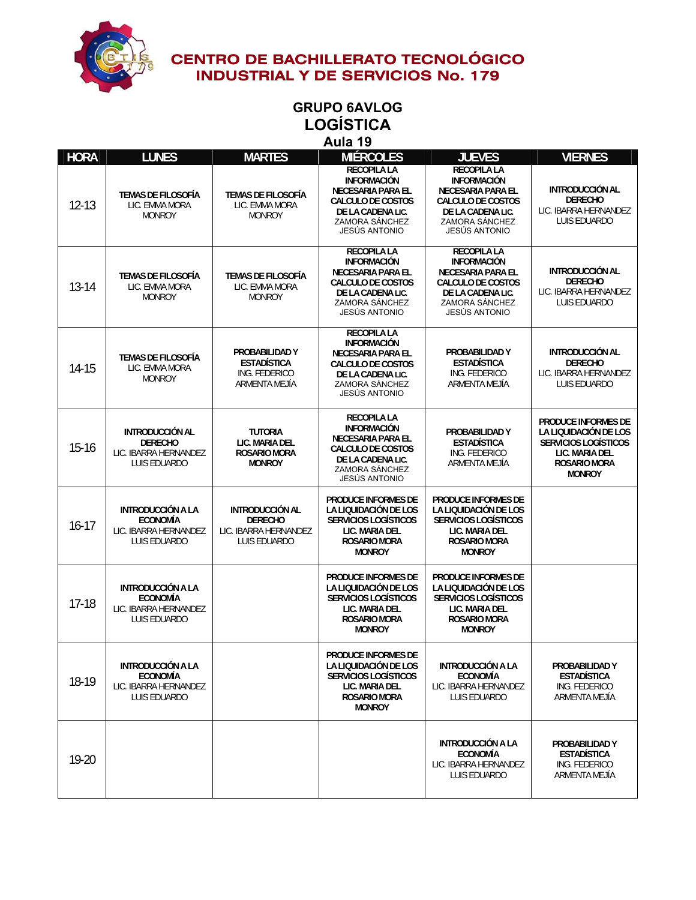

#### **GRUPO 6AVLOG LOGÍSTICA Aula 19**

| <b>HORA</b> | <b>LUNES</b>                                                                         | <b>MARTES</b>                                                                     | <b>MIÉRCOLES</b>                                                                                                                                                | <b>JUEVES</b>                                                                                                                                                   | <b>VIERNES</b>                                                                                                                               |
|-------------|--------------------------------------------------------------------------------------|-----------------------------------------------------------------------------------|-----------------------------------------------------------------------------------------------------------------------------------------------------------------|-----------------------------------------------------------------------------------------------------------------------------------------------------------------|----------------------------------------------------------------------------------------------------------------------------------------------|
| $12 - 13$   | <b>TEMAS DE FILOSOFÍA</b><br>LIC. EMMA MORA<br><b>MONROY</b>                         | <b>TEMAS DE FILOSOFÍA</b><br>LIC. EMMA MORA<br><b>MONROY</b>                      | <b>RECOPILA LA</b><br><b>INFORMACIÓN</b><br><b>NECESARIA PARA EL</b><br><b>CALCULO DE COSTOS</b><br>DE LA CADENA LIC.<br>ZAMORA SÁNCHEZ<br>JESÚS ANTONIO        | <b>RECOPILA LA</b><br><b>INFORMACIÓN</b><br><b>NECESARIA PARA EL</b><br><b>CALCULO DE COSTOS</b><br>DE LA CADENA LIC.<br><b>ZAMORA SÁNCHEZ</b><br>JESÚS ANTONIO | <b>INTRODUCCIÓN AL</b><br><b>DERECHO</b><br>LIC. IBARRA HERNANDEZ<br>LUIS EDUARDO                                                            |
| 13-14       | <b>TEMAS DE FILOSOFÍA</b><br>LIC. EMMA MORA<br><b>MONROY</b>                         | <b>TEMAS DE FILOSOFÍA</b><br>LIC. EMMA MORA<br><b>MONROY</b>                      | <b>RECOPILA LA</b><br><b>INFORMACIÓN</b><br>NECESARIA PARA EL<br><b>CALCULO DE COSTOS</b><br>DE LA CADENA LIC.<br>ZAMORA SÁNCHEZ<br>JESÚS ANTONIO               | <b>RECOPILA LA</b><br><b>INFORMACIÓN</b><br><b>NECESARIA PARA EL</b><br>CALCULO DE COSTOS<br>DE LA CADENA LIC.<br>ZAMORA SÁNCHEZ<br>JESÚS ANTONIO               | <b>INTRODUCCIÓN AL</b><br><b>DERECHO</b><br>LIC. IBARRA HERNANDEZ<br>LUIS EDUARDO                                                            |
| $14 - 15$   | <b>TEMAS DE FILOSOFÍA</b><br>LIC. EMMA MORA<br><b>MONROY</b>                         | PROBABILIDAD Y<br><b>ESTADÍSTICA</b><br>ING. FEDERICO<br>ARMENTA MEJÍA            | <b>RECOPILA LA</b><br><b>INFORMACIÓN</b><br>NECESARIA PARA EL<br><b>CALCULO DE COSTOS</b><br>DE LA CADENA LIC.<br>ZAMORA SÁNCHEZ<br><b>JESÚS ANTONIO</b>        | PROBABILIDAD Y<br><b>ESTADÍSTICA</b><br>ING. FEDERICO<br>ARMENTA MEJÍA                                                                                          | <b>INTRODUCCIÓN AL</b><br><b>DERECHO</b><br>LIC. IBARRA HERNANDEZ<br>LUIS EDUARDO                                                            |
| $15 - 16$   | <b>INTRODUCCIÓN AL</b><br><b>DERECHO</b><br>LIC. IBARRA HERNANDEZ<br>LUIS EDUARDO    | <b>TUTORIA</b><br>LIC. MARIA DEL<br><b>ROSARIO MORA</b><br><b>MONROY</b>          | <b>RECOPILA LA</b><br><b>INFORMACIÓN</b><br><b>NECESARIA PARA EL</b><br><b>CALCULO DE COSTOS</b><br>DE LA CADENA LIC.<br>ZAMORA SÁNCHEZ<br><b>JESÚS ANTONIO</b> | PROBABILIDAD Y<br><b>ESTADÍSTICA</b><br>ING. FEDERICO<br>ARMENTA MEJÍA                                                                                          | <b>PRODUCE INFORMES DE</b><br>LA LIQUIDACIÓN DE LOS<br><b>SERVICIOS LOGÍSTICOS</b><br>LIC. MARIA DEL<br><b>ROSARIO MORA</b><br><b>MONROY</b> |
| $16 - 17$   | <b>INTRODUCCIÓN A LA</b><br><b>ECONOMÍA</b><br>LIC. IBARRA HERNANDEZ<br>LUIS EDUARDO | <b>INTRODUCCIÓN AL</b><br><b>DERECHO</b><br>LIC. IBARRA HERNANDEZ<br>LUIS EDUARDO | <b>PRODUCE INFORMES DE</b><br>LA LIQUIDACIÓN DE LOS<br><b>SERVICIOS LOGÍSTICOS</b><br>LIC. MARIA DEL<br><b>ROSARIO MORA</b><br><b>MONROY</b>                    | <b>PRODUCE INFORMES DE</b><br>LA LIQUIDACIÓN DE LOS<br><b>SERVICIOS LOGÍSTICOS</b><br>LIC. MARIA DEL<br><b>ROSARIO MORA</b><br><b>MONROY</b>                    |                                                                                                                                              |
| $17 - 18$   | <b>INTRODUCCIÓN A LA</b><br><b>ECONOMÍA</b><br>LIC. IBARRA HERNANDEZ<br>LUIS EDUARDO |                                                                                   | <b>PRODUCE INFORMES DE</b><br>LA LIQUIDACIÓN DE LOS<br><b>SERVICIOS LOGÍSTICOS</b><br>LIC. MARIA DEL<br><b>ROSARIO MORA</b><br><b>MONROY</b>                    | <b>PRODUCE INFORMES DE</b><br>LA LIQUIDACIÓN DE LOS<br><b>SERVICIOS LOGÍSTICOS</b><br>LIC. MARIA DEL<br><b>ROSARIO MORA</b><br><b>MONROY</b>                    |                                                                                                                                              |
| 18-19       | INTRODUCCIÓN A LA<br><b>ECONOMÍA</b><br>LIC. IBARRA HERNANDEZ<br>LUIS EDUARDO        |                                                                                   | PRODUCE INFORMES DE<br>LA LIQUIDACIÓN DE LOS<br><b>SERVICIOS LOGÍSTICOS</b><br>LIC. MARIA DEL<br><b>ROSARIO MORA</b><br><b>MONROY</b>                           | INTRODUCCIÓN A LA<br><b>ECONOMÍA</b><br>LIC. IBARRA HERNANDEZ<br>LUIS EDUARDO                                                                                   | PROBABILIDAD Y<br><b>ESTADÍSTICA</b><br>ING. FEDERICO<br>ARMENTA MEJÍA                                                                       |
| 19-20       |                                                                                      |                                                                                   |                                                                                                                                                                 | <b>INTRODUCCIÓN A LA</b><br><b>ECONOMÍA</b><br>LIC. IBARRA HERNANDEZ<br>LUIS EDUARDO                                                                            | PROBABILIDAD Y<br><b>ESTADÍSTICA</b><br>ING. FEDERICO<br>ARMENTA MEJÍA                                                                       |